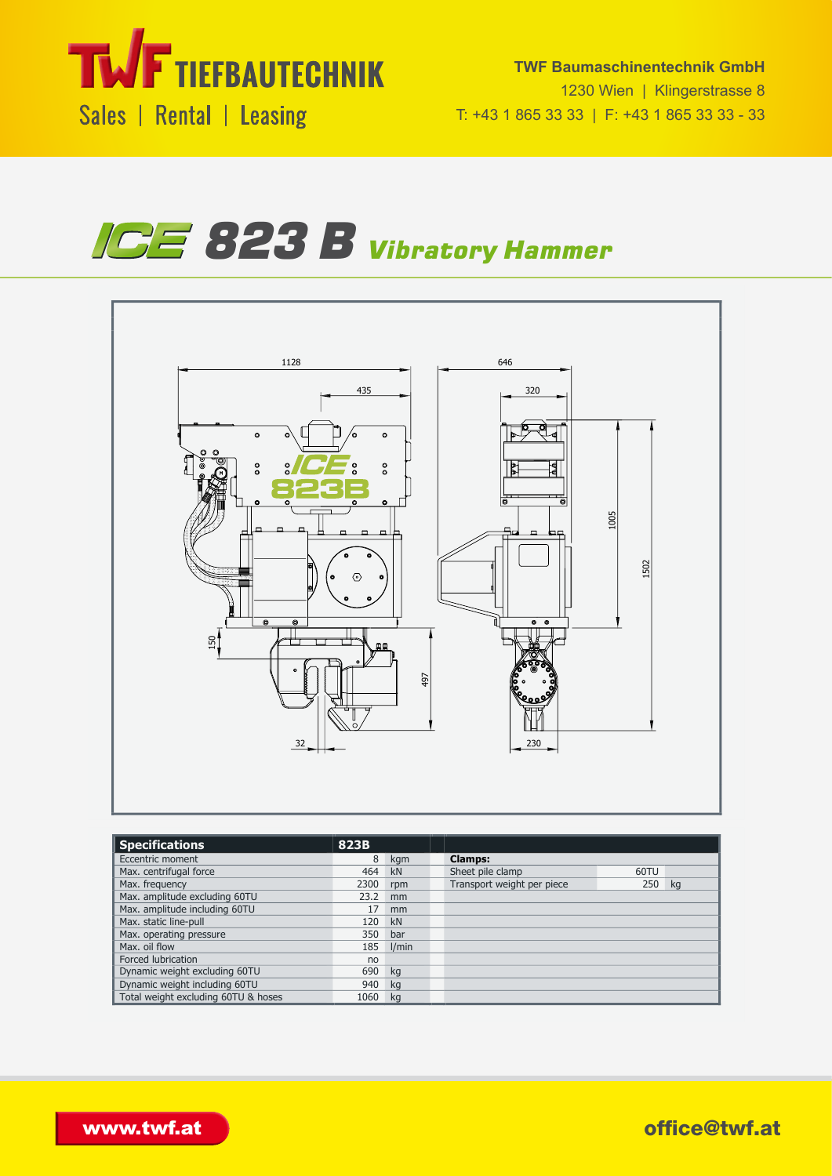





| <b>Specifications</b>               | 823B |       |                            |           |
|-------------------------------------|------|-------|----------------------------|-----------|
| Eccentric moment                    | 8    | kgm   | <b>Clamps:</b>             |           |
| Max. centrifugal force              | 464  | kN    | Sheet pile clamp           | 60TU      |
| Max. frequency                      | 2300 | rpm   | Transport weight per piece | 250<br>kg |
| Max. amplitude excluding 60TU       | 23.2 | mm    |                            |           |
| Max. amplitude including 60TU       | 17   | mm    |                            |           |
| Max. static line-pull               | 120  | kN    |                            |           |
| Max. operating pressure             | 350  | bar   |                            |           |
| Max. oil flow                       | 185  | l/min |                            |           |
| Forced lubrication                  | no   |       |                            |           |
| Dynamic weight excluding 60TU       | 690  | kg    |                            |           |
| Dynamic weight including 60TU       | 940  | ka    |                            |           |
| Total weight excluding 60TU & hoses | 1060 | kg    |                            |           |

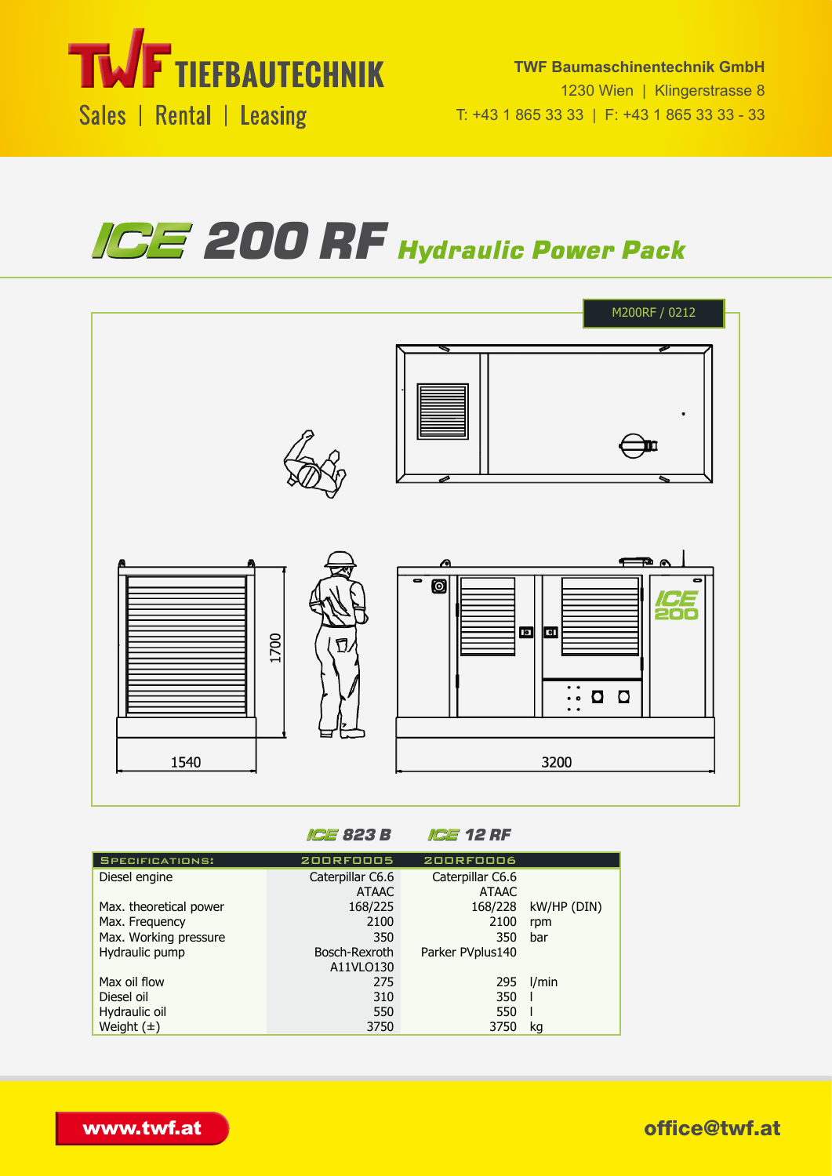

## *200 RF Hydraulic Power Pack*  $\blacksquare$ UINGI FUUN SPEC SHEET  $ZUU$  is if Hydrauli



*823 B 12 RF* Specifications: 200RF0005 200RF0006

| <b>SPECIFICATIONS:</b> | <b>200RF0005</b> | <b>200RF0006</b> |             |
|------------------------|------------------|------------------|-------------|
| Diesel engine          | Caterpillar C6.6 | Caterpillar C6.6 |             |
|                        | <b>ATAAC</b>     | <b>ATAAC</b>     |             |
| Max. theoretical power | 168/225          | 168/228          | kW/HP (DIN) |
| Max. Frequency         | 2100             | 2100             | rpm         |
| Max. Working pressure  | 350              | 350              | bar         |
| Hydraulic pump         | Bosch-Rexroth    | Parker PVplus140 |             |
|                        | A11VLO130        |                  |             |
| Max oil flow           | 275              | 295              | I/min       |
| Diesel oil             | 310              | 350              |             |
| Hydraulic oil          | 550              | 550              |             |
| Weight $(\pm)$         | 3750             | 3750             | kq          |
|                        |                  |                  |             |